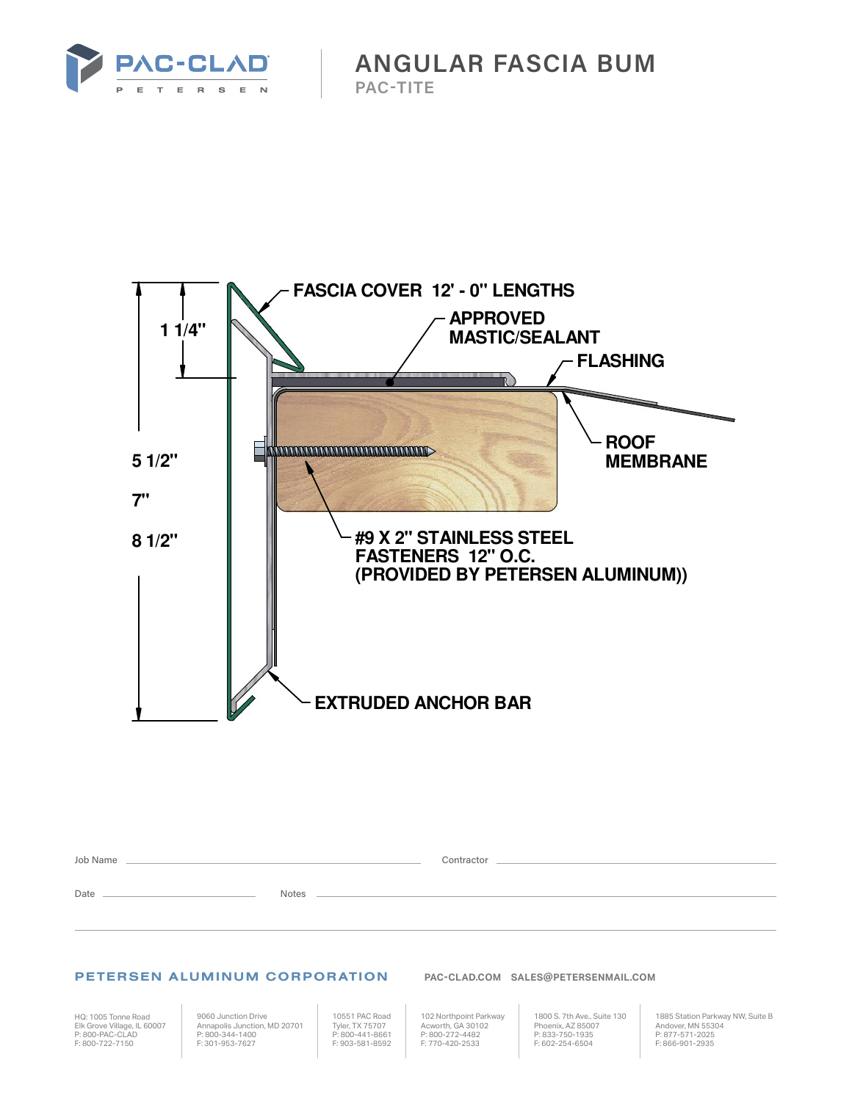

**ANGULAR FASCIA BUM PAC-TITE**



| Job Name |              | Contractor |
|----------|--------------|------------|
| Date     | <b>Notes</b> |            |

## PETERSEN ALUMINUM CORPORATION **PAC-CLAD.COM SALES@PETERSENMAIL.COM**

HQ: 1005 Tonne Road Elk Grove Village, IL 60007 P: 800-PAC-CLAD F: 800-722-7150

9060 Junction Drive Annapolis Junction, MD 20701 P: 800-344-1400 F: 301-953-7627

10551 PAC Road Tyler, TX 75707 P: 800-441-8661 F: 903-581-8592

102 Northpoint Parkway Acworth, GA 30102 P: 800-272-4482 F: 770-420-2533

1800 S. 7th Ave., Suite 130 Phoenix, AZ 85007 P: 833-750-1935 F: 602-254-6504

1885 Station Parkway NW, Suite B Andover, MN 55304 P: 877-571-2025 F: 866-901-2935